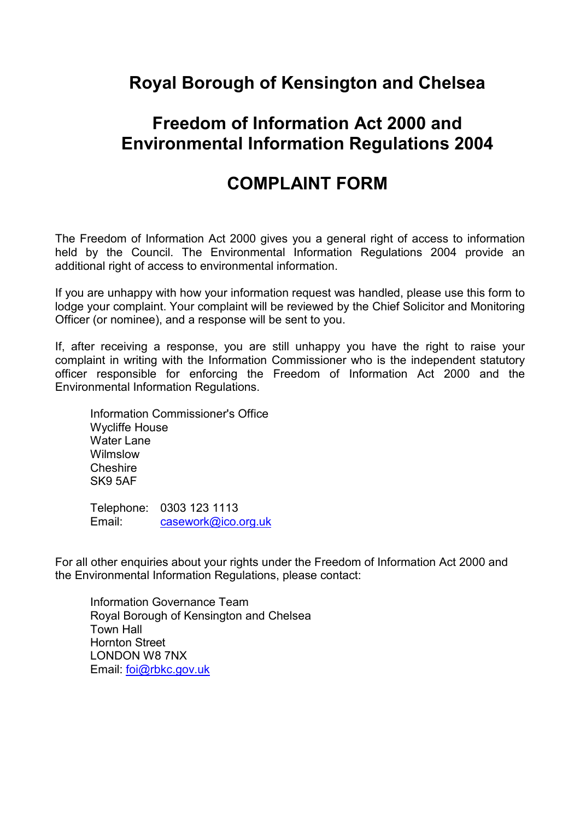## **Royal Borough of Kensington and Chelsea**

# **Freedom of Information Act 2000 and Environmental Information Regulations 2004**

# **COMPLAINT FORM**

The Freedom of Information Act 2000 gives you a general right of access to information held by the Council. The Environmental Information Regulations 2004 provide an additional right of access to environmental information.

If you are unhappy with how your information request was handled, please use this form to lodge your complaint. Your complaint will be reviewed by the Chief Solicitor and Monitoring Officer (or nominee), and a response will be sent to you.

If, after receiving a response, you are still unhappy you have the right to raise your complaint in writing with the Information Commissioner who is the independent statutory officer responsible for enforcing the Freedom of Information Act 2000 and the Environmental Information Regulations.

Information Commissioner's Office Wycliffe House Water Lane **Wilmslow Cheshire** SK9 5AF

Telephone: 0303 123 1113 Email: [casework@ico.org.uk](mailto:casework@ico.org.uk)

For all other enquiries about your rights under the Freedom of Information Act 2000 and the Environmental Information Regulations, please contact:

Information Governance Team Royal Borough of Kensington and Chelsea Town Hall Hornton Street LONDON W8 7NX Email: [foi@rbkc.gov.uk](mailto:foi@rbkc.gov.uk)